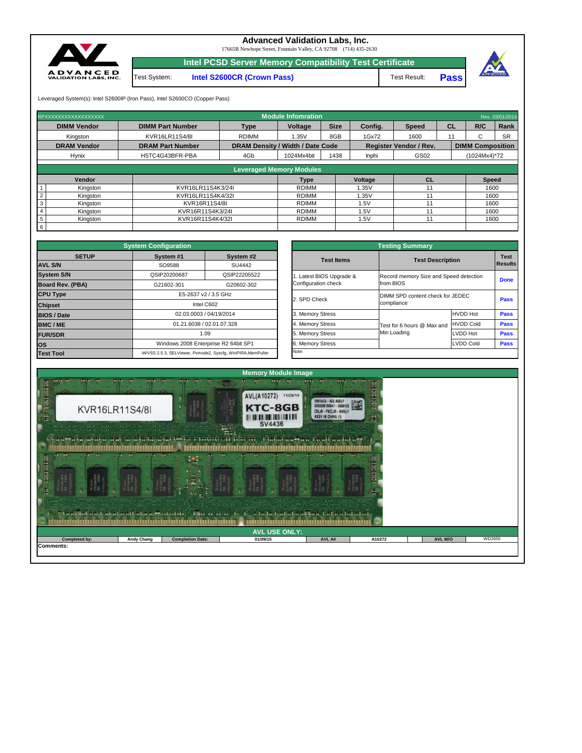Leveraged System(s): Intel S2600IP (Iron Pass), Intel S2600CO (Copper Pass)

**Intel PCSD Server Memory Compatibility Test Certificate**

**Intel S2600CR (Crown Pass)** Test Result: Test System:



## **Advanced Validation Labs, Inc.**

17665B Newhope Street, Fountain Valley, CA 92708 (714) 435-2630

**Pass**

| RPXXXXXXXXXXXXXXXXX |                         |                                         | Module Infomration |             |         |                               |           |                         | Rev. 03/01/2014 |
|---------------------|-------------------------|-----------------------------------------|--------------------|-------------|---------|-------------------------------|-----------|-------------------------|-----------------|
| <b>DIMM Vendor</b>  | <b>DIMM Part Number</b> | <b>Type</b>                             | Voltage            | <b>Size</b> | Config. | <b>Speed</b>                  | <b>CL</b> | R/C                     | Rank            |
| Kingston            | KVR16LR11S4/8I          | <b>RDIMM</b>                            | 1.35V              | 8GB         | 1Gx72   | 1600                          |           |                         | <b>SR</b>       |
| <b>DRAM Vendor</b>  | <b>DRAM Part Number</b> | <b>DRAM Density / Width / Date Code</b> |                    |             |         | <b>Register Vendor / Rev.</b> |           | <b>DIMM Composition</b> |                 |
| <b>Hynix</b>        | H5TC4G43BFR-PBA         | 4Gb                                     | 1024Mx4bit         | 1438        | Inphi   | GS02                          |           | $(1024Mx4)*72$          |                 |
|                     |                         |                                         |                    |             |         |                               |           |                         |                 |

| <b>Leveraged Memory Modules</b> |                   |              |                |           |              |  |  |  |  |  |
|---------------------------------|-------------------|--------------|----------------|-----------|--------------|--|--|--|--|--|
| Vendor                          |                   | Type         | <b>Voltage</b> | <b>CL</b> | <b>Speed</b> |  |  |  |  |  |
| Kingston                        | KVR16LR11S4K3/24I | <b>RDIMM</b> | .35V           |           | 1600         |  |  |  |  |  |
| Kingston                        | KVR16LR11S4K4/32I | <b>RDIMM</b> | .35V           |           | 1600         |  |  |  |  |  |
| Kingston                        | KVR16R11S4/8I     | RDIMM        | .5V            |           | 1600         |  |  |  |  |  |
| Kingston                        | KVR16R11S4K3/24I  | <b>RDIMM</b> | .5V            |           | 1600         |  |  |  |  |  |
| Kingston                        | KVR16R11S4K4/32I  | <b>RDIMM</b> | .5V            |           | 1600         |  |  |  |  |  |
|                                 |                   |              |                |           |              |  |  |  |  |  |

|                         | <b>System Configuration</b> |                                                             | <b>Testing Summary</b> |                                  |                                                     |             |  |  |  |
|-------------------------|-----------------------------|-------------------------------------------------------------|------------------------|----------------------------------|-----------------------------------------------------|-------------|--|--|--|
| <b>SETUP</b>            | System #1                   | System #2                                                   | <b>Test Items</b>      |                                  | <b>Test Description</b>                             |             |  |  |  |
| <b>AVL S/N</b>          | SO9588<br>SU4442            |                                                             |                        |                                  |                                                     |             |  |  |  |
| <b>System S/N</b>       | QSIP20200687                | QSIP22205522                                                | Latest BIOS Upgrade &  |                                  | Record memory Size and Speed detection<br>from BIOS |             |  |  |  |
| <b>Board Rev. (PBA)</b> | G21602-301                  | G20602-302                                                  | Configuration check    |                                  |                                                     |             |  |  |  |
| <b>CPU Type</b>         |                             | E5-2637 v2 / 3.5 GHz                                        | 2. SPD Check           | DIMM SPD content check for JEDEC |                                                     |             |  |  |  |
| <b>Chipset</b>          |                             | Intel C602                                                  |                        | compliance                       | <b>Pass</b>                                         |             |  |  |  |
| <b>BIOS / Date</b>      |                             | 02.03.0003 / 04/19/2014                                     | 3. Memory Stress       |                                  | <b>HVDD Hot</b>                                     | <b>Pass</b> |  |  |  |
| <b>BMC/ME</b>           |                             | 01.21.6038 / 02.01.07.328                                   | 4. Memory Stress       | Test for 6 hours @ Max and       | <b>HVDD Cold</b>                                    | <b>Pass</b> |  |  |  |
| <b>FUR/SDR</b>          |                             | 1.09                                                        | 5. Memory Stress       | Min Loading                      | LVDD Hot                                            | <b>Pass</b> |  |  |  |
| los                     |                             | Windows 2008 Enterpirise R2 64bit SP1                       | 6. Memory Stress       |                                  | LVDD Cold                                           | <b>Pass</b> |  |  |  |
| <b>Test Tool</b>        |                             | iWVSS 2.5.3, SELViewer, Pvmode2, Syscfg, WinPIRA, MemPuller | Note:                  |                                  |                                                     |             |  |  |  |

|                                                 | <b>Testing Summary</b>                         |                                        |             |  |  |  |
|-------------------------------------------------|------------------------------------------------|----------------------------------------|-------------|--|--|--|
| <b>Test Items</b>                               | <b>Test Description</b>                        |                                        |             |  |  |  |
| 1. Latest BIOS Upgrade &<br>Configuration check | from BIOS                                      | Record memory Size and Speed detection |             |  |  |  |
| 2. SPD Check                                    | DIMM SPD content check for JEDEC<br>compliance | <b>Pass</b>                            |             |  |  |  |
| 3. Memory Stress                                |                                                | <b>HVDD Hot</b>                        | <b>Pass</b> |  |  |  |
| 4. Memory Stress                                | Test for 6 hours @ Max and                     | <b>HVDD Cold</b>                       | <b>Pass</b> |  |  |  |
| 5. Memory Stress                                | Min Loading                                    | LVDD Hot                               | <b>Pass</b> |  |  |  |
| 6. Memory Stress                                |                                                | <b>LVDD Cold</b>                       | <b>Pass</b> |  |  |  |
| Note:                                           |                                                |                                        |             |  |  |  |



| $-$<br>$  -$<br>det a abdata a t'ai at a attaga agus sistema (° | <b>George</b><br>$\cdot \cdot$ $\cdot$ $\cdot$<br>$\sim$ $\sim$ $\sim$ | $\frac{1}{2}$<br>$\cdots$<br><b>AVELENT DE DE CAR DE LA BRANCIA DE LA BRANCIA DE LA BRANCIA DE LA BRANCIA DE LA BRANCIA DE LA BRANCIA DE LA BR</b> | $\rightarrow$ $\rightarrow$ $\sim$ $\sim$ $\sim$ $\sim$ $\sim$<br>$\mathbf{L} = \mathbf{L} \cdot \mathbf{L} \cdot \mathbf{L} \cdot \mathbf{L} \cdot \mathbf{L} \cdot \mathbf{L} \cdot \mathbf{L} \cdot \mathbf{L} \cdot \mathbf{L} \cdot \mathbf{L} \cdot \mathbf{L} \cdot \mathbf{L} \cdot \mathbf{L} \cdot \mathbf{L} \cdot \mathbf{L} \cdot \mathbf{L} \cdot \mathbf{L} \cdot \mathbf{L} \cdot \mathbf{L} \cdot \mathbf{L} \cdot \mathbf{L} \cdot \mathbf{L} \cdot \mathbf{L} \cdot \mathbf{L} \cdot \mathbf{L} \cdot \mathbf{L} \cdot \mathbf{L$<br>11 | <u>, manana manan na an ni aman mana na na</u> | $\cdots$ $\cdots$ |                |        |  |  |
|-----------------------------------------------------------------|------------------------------------------------------------------------|----------------------------------------------------------------------------------------------------------------------------------------------------|------------------------------------------------------------------------------------------------------------------------------------------------------------------------------------------------------------------------------------------------------------------------------------------------------------------------------------------------------------------------------------------------------------------------------------------------------------------------------------------------------------------------------------------------------------|------------------------------------------------|-------------------|----------------|--------|--|--|
| <b>AVL USE ONLY:</b>                                            |                                                                        |                                                                                                                                                    |                                                                                                                                                                                                                                                                                                                                                                                                                                                                                                                                                            |                                                |                   |                |        |  |  |
| Completed by:                                                   | <b>Andy Chang</b>                                                      | <b>Completion Date:</b>                                                                                                                            | 01/09/15                                                                                                                                                                                                                                                                                                                                                                                                                                                                                                                                                   | AVL A#                                         | A10272            | <b>AVL W/O</b> | WD2655 |  |  |